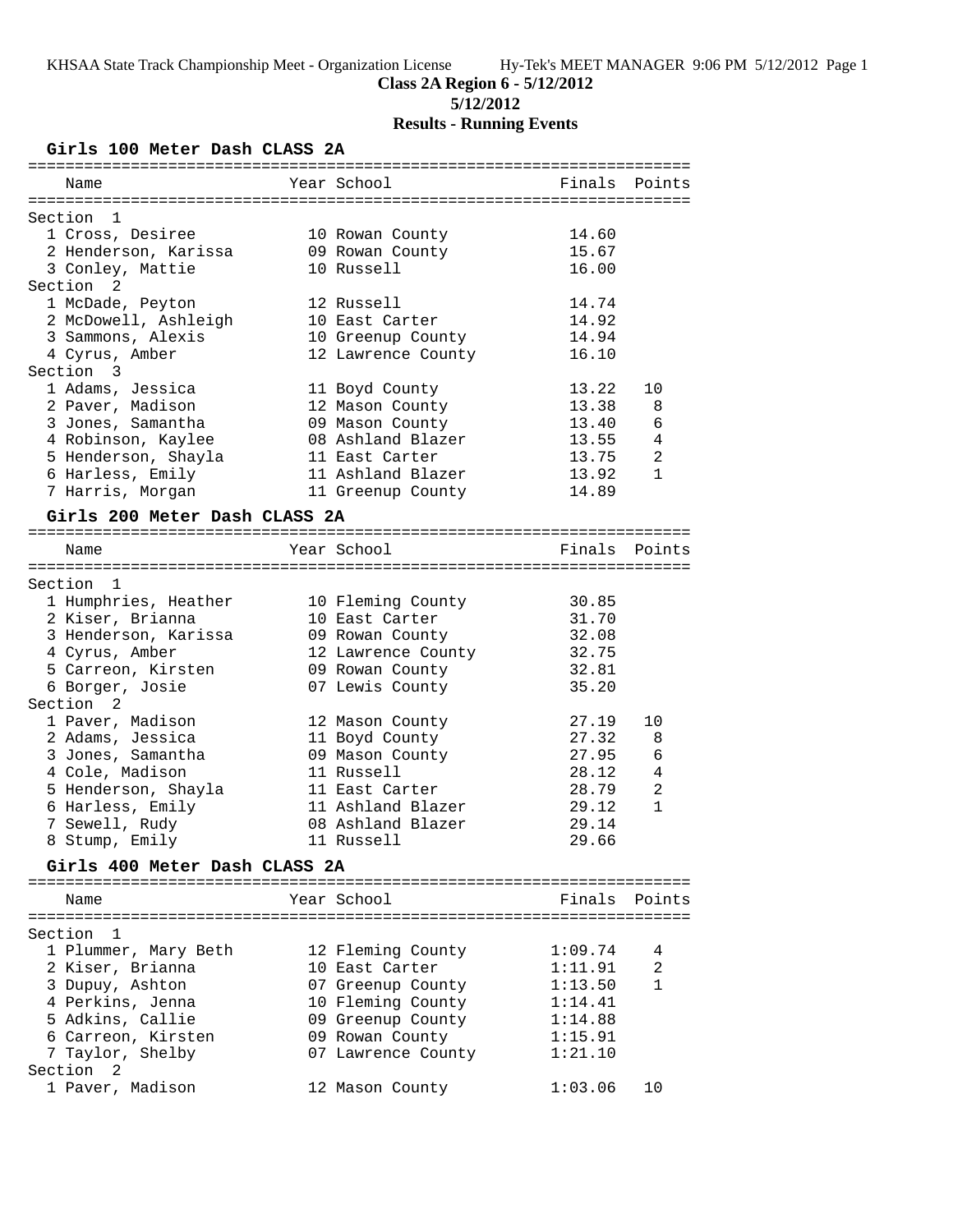**5/12/2012**

# **Results - Running Events**

## **Girls 100 Meter Dash CLASS 2A**

| Name                          | Year School        | Finals  | Points         |
|-------------------------------|--------------------|---------|----------------|
|                               |                    |         |                |
| Section<br>1                  |                    |         |                |
| 1 Cross, Desiree              | 10 Rowan County    | 14.60   |                |
| 2 Henderson, Karissa          | 09 Rowan County    | 15.67   |                |
| 3 Conley, Mattie              | 10 Russell         | 16.00   |                |
| Section 2                     |                    |         |                |
| 1 McDade, Peyton              | 12 Russell         | 14.74   |                |
| 2 McDowell, Ashleigh          | 10 East Carter     | 14.92   |                |
| 3 Sammons, Alexis             | 10 Greenup County  | 14.94   |                |
| 4 Cyrus, Amber                | 12 Lawrence County | 16.10   |                |
| Section 3                     |                    |         |                |
| 1 Adams, Jessica              | 11 Boyd County     | 13.22   | 10             |
| 2 Paver, Madison              | 12 Mason County    | 13.38   | 8              |
| 3 Jones, Samantha             | 09 Mason County    | 13.40   | 6              |
| 4 Robinson, Kaylee            | 08 Ashland Blazer  | 13.55   | 4              |
| 5 Henderson, Shayla           | 11 East Carter     | 13.75   | $\overline{2}$ |
| 6 Harless, Emily              | 11 Ashland Blazer  | 13.92   | $\mathbf{1}$   |
| 7 Harris, Morgan              | 11 Greenup County  | 14.89   |                |
|                               |                    |         |                |
| Girls 200 Meter Dash CLASS 2A |                    |         |                |
|                               |                    |         |                |
| Name                          | Year School        |         | Finals Points  |
|                               |                    |         |                |
| Section 1                     |                    |         |                |
| 1 Humphries, Heather          | 10 Fleming County  | 30.85   |                |
| 2 Kiser, Brianna              | 10 East Carter     | 31.70   |                |
| 3 Henderson, Karissa          | 09 Rowan County    | 32.08   |                |
| 4 Cyrus, Amber                | 12 Lawrence County | 32.75   |                |
| 5 Carreon, Kirsten            | 09 Rowan County    | 32.81   |                |
| 6 Borger, Josie               | 07 Lewis County    | 35.20   |                |
| Section <sub>2</sub>          |                    |         |                |
| 1 Paver, Madison              | 12 Mason County    | 27.19   | 10             |
| 2 Adams, Jessica              | 11 Boyd County     | 27.32   | 8              |
| 3 Jones, Samantha             | 09 Mason County    | 27.95   | 6              |
| 4 Cole, Madison               | 11 Russell         | 28.12   | 4              |
| 5 Henderson, Shayla           | 11 East Carter     | 28.79   | $\overline{2}$ |
| 6 Harless, Emily              | 11 Ashland Blazer  | 29.12   | $\mathbf{1}$   |
|                               | 08 Ashland Blazer  | 29.14   |                |
| 7 Sewell, Rudy                | 11 Russell         | 29.66   |                |
| 8 Stump, Emily                |                    |         |                |
| Girls 400 Meter Dash CLASS 2A |                    |         |                |
|                               |                    |         |                |
| Name                          | Year School        | Finals  | Points         |
|                               |                    |         |                |
| Section<br>- 1                |                    |         |                |
| 1 Plummer, Mary Beth          | 12 Fleming County  | 1:09.74 | 4              |
| 2 Kiser, Brianna              | 10 East Carter     | 1:11.91 | 2              |
| 3 Dupuy, Ashton               | 07 Greenup County  | 1:13.50 | 1              |
| 4 Perkins, Jenna              | 10 Fleming County  | 1:14.41 |                |
| 5 Adkins, Callie              | 09 Greenup County  | 1:14.88 |                |
| 6 Carreon, Kirsten            | 09 Rowan County    | 1:15.91 |                |
| 7 Taylor, Shelby              | 07 Lawrence County | 1:21.10 |                |
| Section <sub>2</sub>          |                    |         |                |
| 1 Paver, Madison              | 12 Mason County    | 1:03.06 | 10             |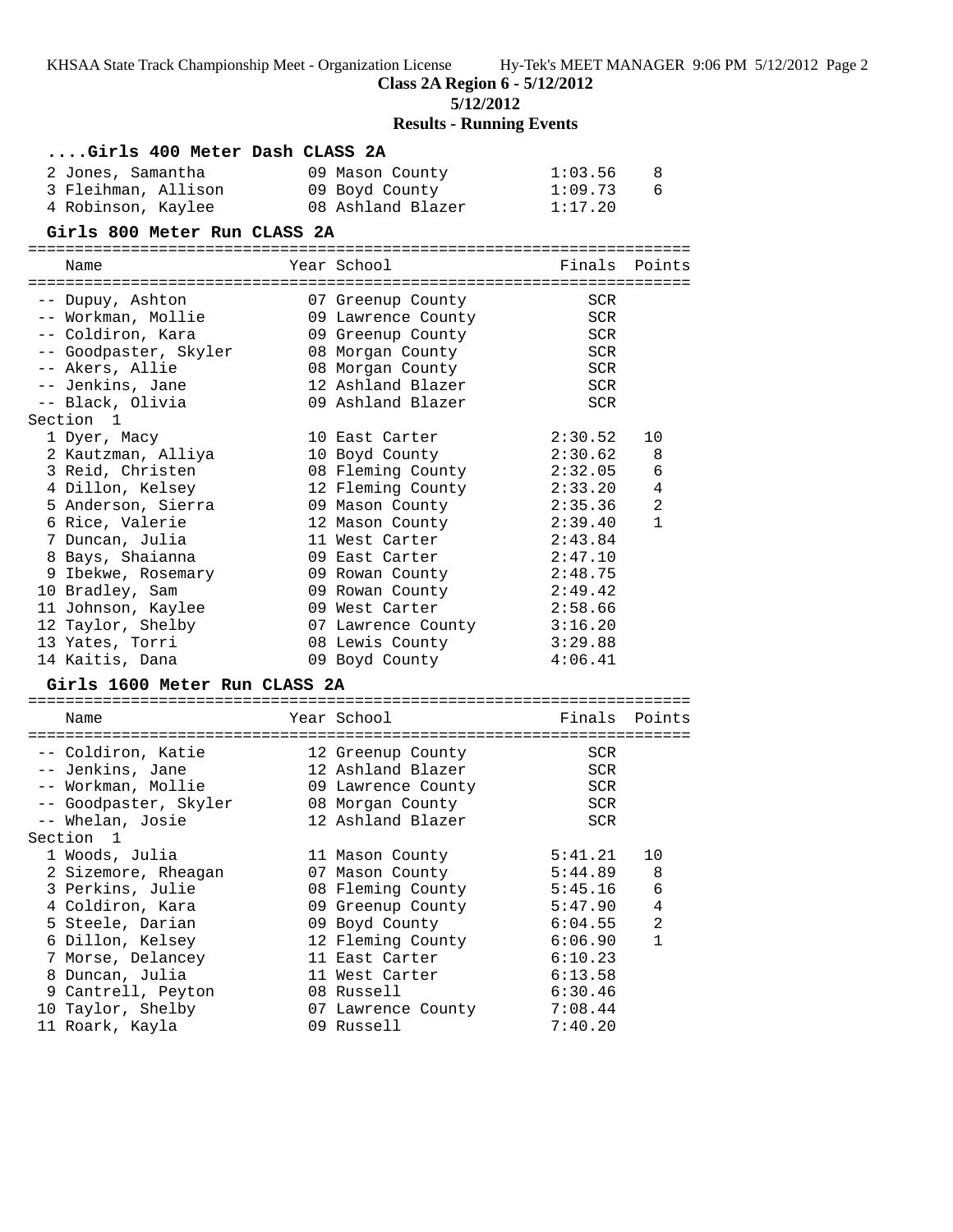**Class 2A Region 6 - 5/12/2012**

**5/12/2012**

# **Results - Running Events**

## **....Girls 400 Meter Dash CLASS 2A**

| 2 Jones, Samantha   | 09 Mason County   | 1:03.56 |  |
|---------------------|-------------------|---------|--|
| 3 Fleihman, Allison | 09 Boyd County    | 1:09.73 |  |
| 4 Robinson, Kaylee  | 08 Ashland Blazer | 1:17.20 |  |

#### **Girls 800 Meter Run CLASS 2A**

=======================================================================

| Name                          | Year School                       | Finals     | Points         |
|-------------------------------|-----------------------------------|------------|----------------|
| -- Dupuy, Ashton              | 07 Greenup County                 | SCR        |                |
| -- Workman, Mollie            | 09 Lawrence County                | <b>SCR</b> |                |
| -- Coldiron, Kara             | 09 Greenup County                 | SCR        |                |
| -- Goodpaster, Skyler         | 08 Morgan County                  | <b>SCR</b> |                |
| -- Akers, Allie               | 08 Morgan County                  | <b>SCR</b> |                |
| -- Jenkins, Jane              | 12 Ashland Blazer                 | <b>SCR</b> |                |
| -- Black, Olivia              | 09 Ashland Blazer                 | SCR        |                |
| Section 1                     |                                   |            |                |
| 1 Dyer, Macy                  | 10 East Carter                    | 2:30.52    | 10             |
| 2 Kautzman, Alliya            | 10 Boyd County                    | 2:30.62    | 8              |
| 3 Reid, Christen              | 08 Fleming County                 | 2:32.05    | 6              |
| 4 Dillon, Kelsey              | 12 Fleming County                 | 2:33.20    | 4              |
| 5 Anderson, Sierra            | 09 Mason County                   | 2:35.36    | $\overline{a}$ |
| 6 Rice, Valerie               | 12 Mason County                   | 2:39.40    | $\mathbf{1}$   |
| 7 Duncan, Julia               | 11 West Carter                    | 2:43.84    |                |
| 8 Bays, Shaianna              | 09 East Carter                    | 2:47.10    |                |
| 9 Ibekwe, Rosemary            | 09 Rowan County                   | 2:48.75    |                |
| 10 Bradley, Sam               | 09 Rowan County                   | 2:49.42    |                |
| 11 Johnson, Kaylee            | 09 West Carter                    | 2:58.66    |                |
| 12 Taylor, Shelby             | 07 Lawrence County                | 3:16.20    |                |
| 13 Yates, Torri               | 08 Lewis County<br>09 Boyd County | 3:29.88    |                |
| 14 Kaitis, Dana               |                                   | 4:06.41    |                |
| Girls 1600 Meter Run CLASS 2A |                                   |            |                |
| Name                          | Year School                       | Finals     | Points         |
|                               |                                   |            |                |
| -- Coldiron, Katie            | 12 Greenup County                 | SCR        |                |
| -- Jenkins, Jane              | 12 Ashland Blazer                 | SCR        |                |
| -- Workman, Mollie            | 09 Lawrence County                | SCR        |                |
| -- Goodpaster, Skyler         | 08 Morgan County                  | <b>SCR</b> |                |
| -- Whelan, Josie              | 12 Ashland Blazer                 | <b>SCR</b> |                |
| Section <sub>1</sub>          |                                   |            |                |
| 1 Woods, Julia                | 11 Mason County                   | 5:41.21    | 10             |
| 2 Sizemore, Rheagan           | 07 Mason County                   | 5:44.89    | 8              |
| 3 Perkins, Julie              | 08 Fleming County                 | 5:45.16    | 6              |
| 4 Coldiron, Kara              | 09 Greenup County                 | 5:47.90    | 4              |
| 5 Steele, Darian              | 09 Boyd County                    | 6:04.55    | 2              |
| 6 Dillon, Kelsey              | 12 Fleming County                 | 6:06.90    | $\mathbf{1}$   |
| 7 Morse, Delancey             | 11 East Carter                    | 6:10.23    |                |
| 8 Duncan, Julia               | 11 West Carter                    | 6:13.58    |                |
| 9 Cantrell, Peyton            | 08 Russell                        | 6:30.46    |                |
| 10 Taylor, Shelby             | 07 Lawrence County                | 7:08.44    |                |
| 11 Roark, Kayla               | 09 Russell                        | 7:40.20    |                |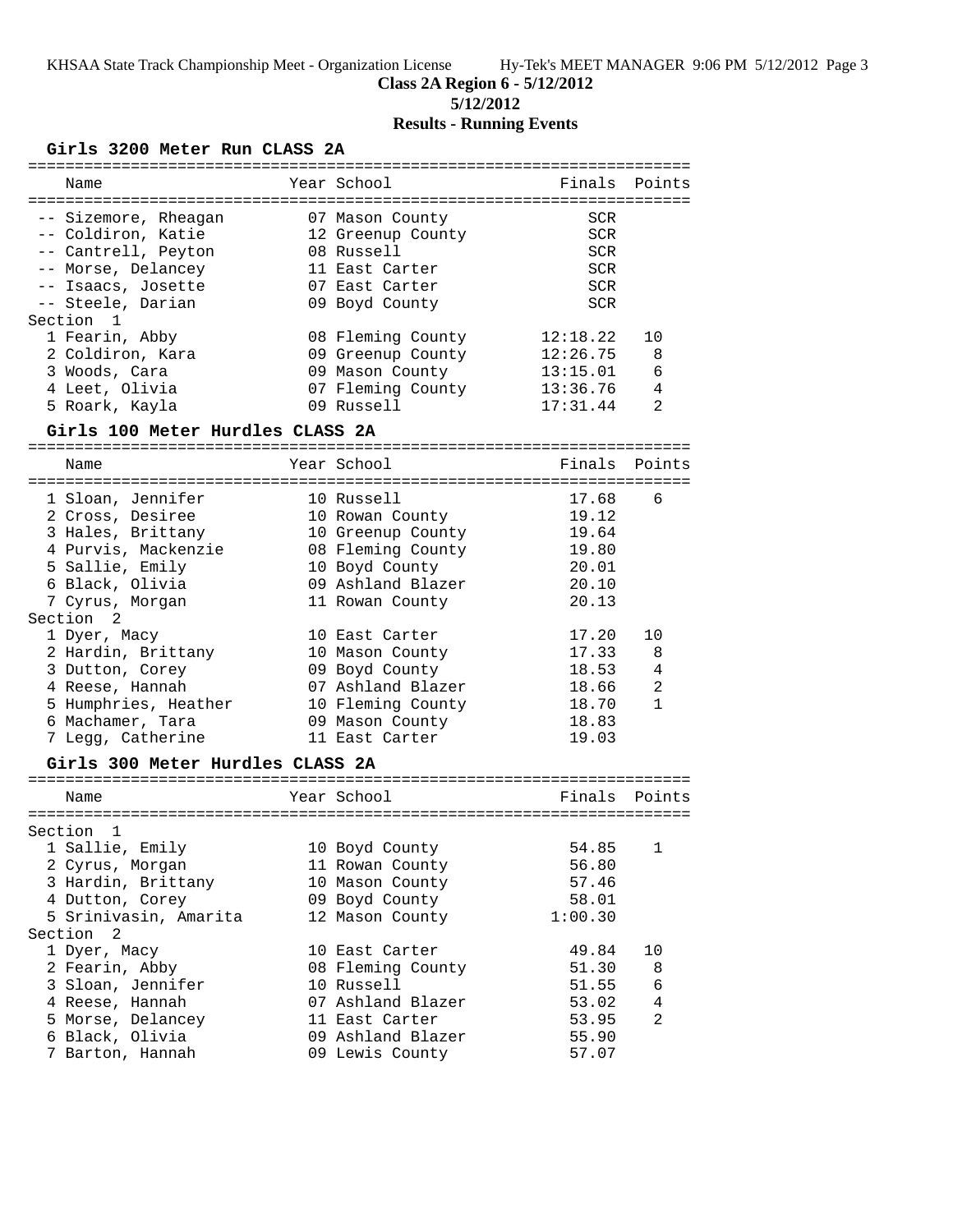**5/12/2012**

# **Results - Running Events**

## **Girls 3200 Meter Run CLASS 2A**

| -----------           |                                  |                   | ===================================== |              |
|-----------------------|----------------------------------|-------------------|---------------------------------------|--------------|
| Name                  |                                  | Year School       | Finals                                | Points       |
|                       |                                  |                   |                                       |              |
| -- Sizemore, Rheagan  |                                  | 07 Mason County   | SCR                                   |              |
| -- Coldiron, Katie    |                                  | 12 Greenup County | <b>SCR</b>                            |              |
| -- Cantrell, Peyton   |                                  | 08 Russell        | <b>SCR</b>                            |              |
| -- Morse, Delancey    |                                  | 11 East Carter    | <b>SCR</b>                            |              |
| -- Isaacs, Josette    |                                  | 07 East Carter    | <b>SCR</b>                            |              |
| -- Steele, Darian     |                                  | 09 Boyd County    | <b>SCR</b>                            |              |
| Section<br>1          |                                  |                   |                                       |              |
| 1 Fearin, Abby        |                                  | 08 Fleming County | 12:18.22                              | 10           |
| 2 Coldiron, Kara      |                                  | 09 Greenup County | 12:26.75                              | 8            |
| 3 Woods, Cara         |                                  | 09 Mason County   | 13:15.01                              | 6            |
| 4 Leet, Olivia        |                                  | 07 Fleming County | 13:36.76                              | 4            |
| 5 Roark, Kayla        |                                  | 09 Russell        | 17:31.44                              | 2            |
|                       | Girls 100 Meter Hurdles CLASS 2A |                   |                                       |              |
| Name                  |                                  | Year School       | Finals                                | Points       |
|                       |                                  |                   |                                       |              |
| 1 Sloan, Jennifer     |                                  | 10 Russell        | 17.68                                 | 6            |
| 2 Cross, Desiree      |                                  | 10 Rowan County   | 19.12                                 |              |
| 3 Hales, Brittany     |                                  | 10 Greenup County | 19.64                                 |              |
| 4 Purvis, Mackenzie   |                                  | 08 Fleming County | 19.80                                 |              |
| 5 Sallie, Emily       |                                  | 10 Boyd County    | 20.01                                 |              |
| 6 Black, Olivia       |                                  | 09 Ashland Blazer | 20.10                                 |              |
| 7 Cyrus, Morgan       |                                  | 11 Rowan County   | 20.13                                 |              |
| Section 2             |                                  |                   |                                       |              |
| 1 Dyer, Macy          |                                  | 10 East Carter    | 17.20                                 | 10           |
| 2 Hardin, Brittany    |                                  | 10 Mason County   | 17.33                                 | 8            |
| 3 Dutton, Corey       |                                  | 09 Boyd County    | 18.53                                 | 4            |
| 4 Reese, Hannah       |                                  | 07 Ashland Blazer | 18.66                                 | 2            |
|                       | 5 Humphries, Heather             | 10 Fleming County | 18.70                                 | $\mathbf{1}$ |
| 6 Machamer, Tara      |                                  | 09 Mason County   | 18.83                                 |              |
| 7 Legg, Catherine     |                                  | 11 East Carter    | 19.03                                 |              |
|                       | Girls 300 Meter Hurdles CLASS 2A |                   |                                       |              |
|                       |                                  |                   |                                       |              |
| Name                  |                                  | Year School       | Finals                                | Points       |
|                       |                                  |                   |                                       |              |
| Section<br>1          |                                  |                   | 54.85                                 |              |
| 1 Sallie, Emily       |                                  | 10 Boyd County    |                                       | $\mathbf 1$  |
| 2 Cyrus, Morgan       |                                  | 11 Rowan County   | 56.80                                 |              |
| 3 Hardin, Brittany    |                                  | 10 Mason County   | 57.46                                 |              |
| 4 Dutton, Corey       |                                  | 09 Boyd County    | 58.01                                 |              |
| 5 Srinivasin, Amarita |                                  | 12 Mason County   | 1:00.30                               |              |
| Section 2             |                                  |                   |                                       |              |
| 1 Dyer, Macy          |                                  | 10 East Carter    | 49.84                                 | 10           |
| 2 Fearin, Abby        |                                  | 08 Fleming County | 51.30                                 | 8            |
| 3 Sloan, Jennifer     |                                  | 10 Russell        | 51.55                                 | 6            |
| 4 Reese, Hannah       |                                  | 07 Ashland Blazer | 53.02                                 | 4            |
| 5 Morse, Delancey     |                                  | 11 East Carter    | 53.95                                 | 2            |
| 6 Black, Olivia       |                                  | 09 Ashland Blazer | 55.90                                 |              |
| 7 Barton, Hannah      |                                  | 09 Lewis County   | 57.07                                 |              |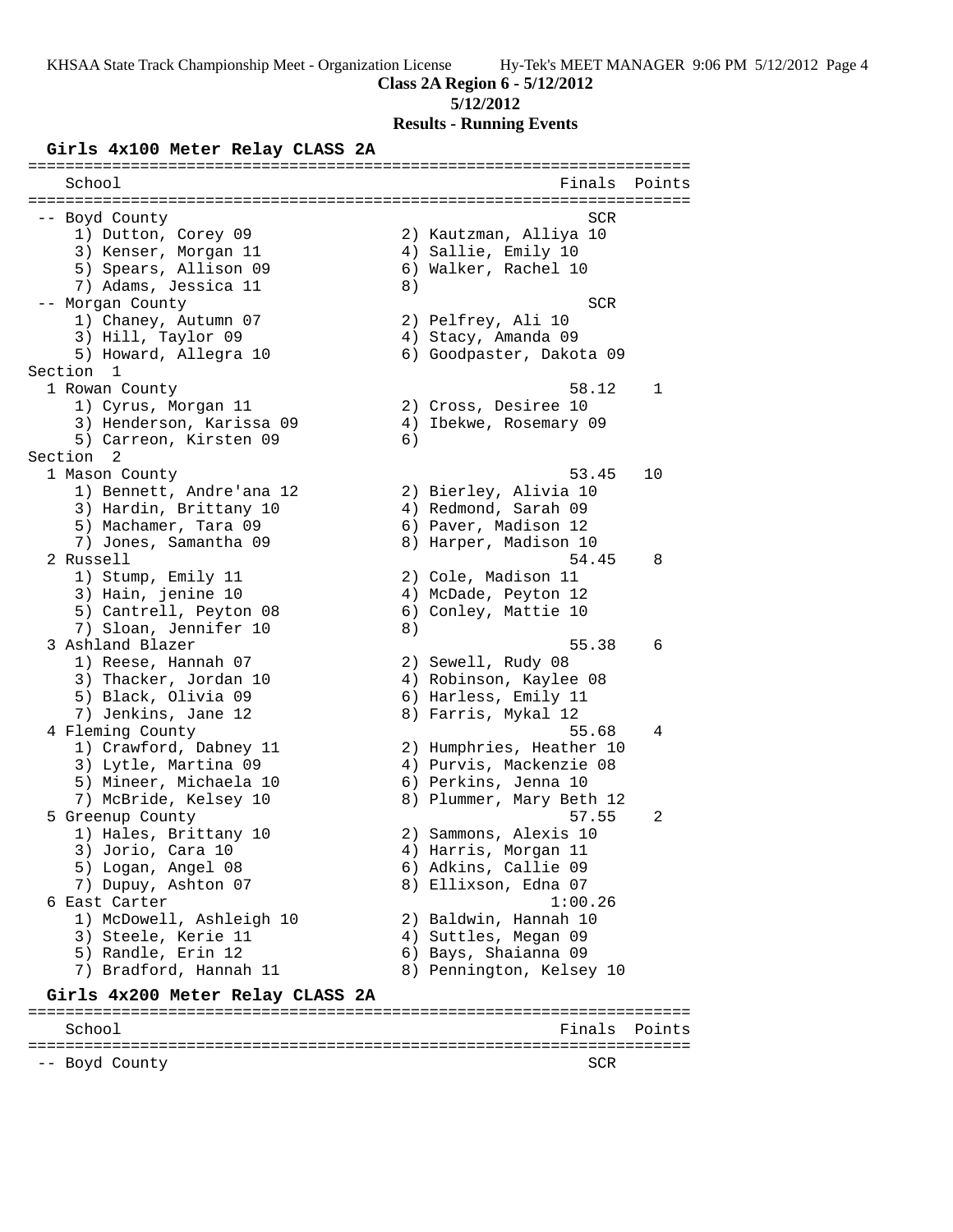**Class 2A Region 6 - 5/12/2012**

#### **5/12/2012**

**Results - Running Events**

#### **Girls 4x100 Meter Relay CLASS 2A**

======================================================================= School **Finals** Points ======================================================================= -- Boyd County SCR (1999) -- Southwest SCR (1999) -- SCR (1999) -- SCR (1999) -- SCR 1) Dutton, Corey 09 2) Kautzman, Alliya 10 3) Kenser, Morgan 11 (4) Sallie, Emily 10 5) Spears, Allison 09 6) Walker, Rachel 10 7) Adams, Jessica 11 (8) -- Morgan County SCR 1) Chaney, Autumn 07 2) Pelfrey, Ali 10 3) Hill, Taylor 09 4) Stacy, Amanda 09 5) Howard, Allegra 10 6) Goodpaster, Dakota 09 Section 1<br>1 Rowan County 1 Rowan County 58.12 1 1) Cyrus, Morgan 11 2) Cross, Desiree 10 3) Henderson, Karissa 09 4) Ibekwe, Rosemary 09 5) Carreon, Kirsten 09 (6) Section 2 1 Mason County 53.45 10 1) Bennett, Andre'ana 12 2) Bierley, Alivia 10 3) Hardin, Brittany 10  $\hskip1cm$  4) Redmond, Sarah 09 5) Machamer, Tara 09 (6) Paver, Madison 12 7) Jones, Samantha 09 8) Harper, Madison 10 2 Russell 54.45 8 1) Stump, Emily 11 2) Cole, Madison 11 3) Hain, jenine 10 4) McDade, Peyton 12 5) Cantrell, Peyton 08 6) Conley, Mattie 10 7) Sloan, Jennifer 10 8) 3 Ashland Blazer 55.38 6 1) Reese, Hannah 07 2) Sewell, Rudy 08 3) Thacker, Jordan 10 4) Robinson, Kaylee 08 5) Black, Olivia 09 6) Harless, Emily 11 7) Jenkins, Jane 12 8) Farris, Mykal 12 4 Fleming County 55.68 4 1) Crawford, Dabney 11 2) Humphries, Heather 10 3) Lytle, Martina 09 4) Purvis, Mackenzie 08 5) Mineer, Michaela 10 (6) Perkins, Jenna 10 7) McBride, Kelsey 10 8) Plummer, Mary Beth 12 5 Greenup County 57.55 2 1) Hales, Brittany 10 2) Sammons, Alexis 10 3) Jorio, Cara 10 4) Harris, Morgan 11 5) Logan, Angel 08 6) Adkins, Callie 09 7) Dupuy, Ashton 07 8) Ellixson, Edna 07 6 East Carter 1:00.26 1) McDowell, Ashleigh 10 2) Baldwin, Hannah 10 3) Steele, Kerie 11 (4) Auttles, Megan 09 5) Randle, Erin 12 6) Bays, Shaianna 09 7) Bradford, Hannah 11 8) Pennington, Kelsey 10 **Girls 4x200 Meter Relay CLASS 2A** ======================================================================= School **Finals** Points ======================================================================= -- Boyd County SCR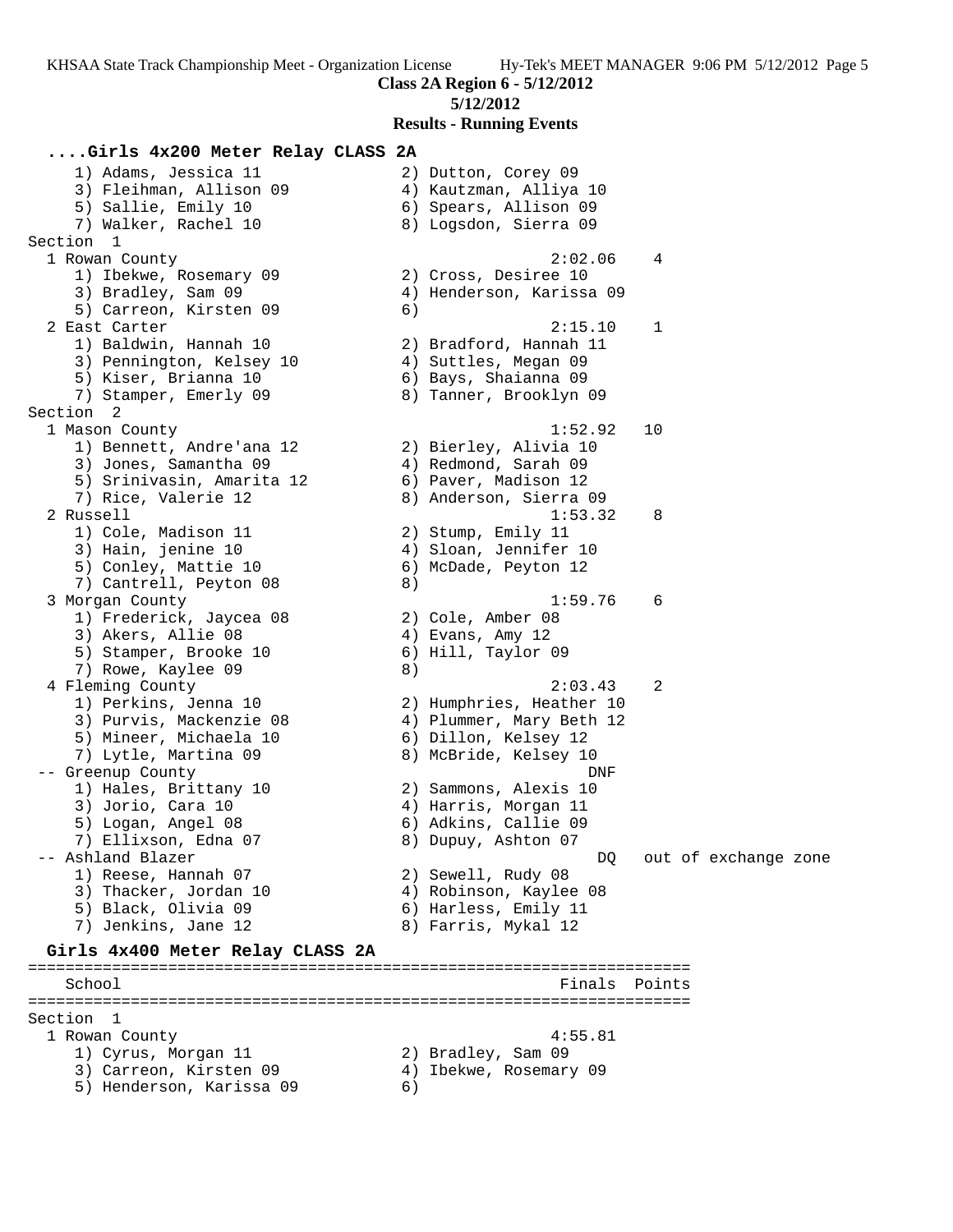**Class 2A Region 6 - 5/12/2012**

### **5/12/2012**

**Results - Running Events**

## **....Girls 4x200 Meter Relay CLASS 2A**

 1) Adams, Jessica 11 2) Dutton, Corey 09 3) Fleihman, Allison 09 4) Kautzman, Alliya 10 5) Sallie, Emily 10 6) Spears, Allison 09 7) Walker, Rachel 10 8) Logsdon, Sierra 09 Section 1 1 Rowan County 2:02.06 4 1) Ibekwe, Rosemary 09  $\hskip1cm 2)$  Cross, Desiree 10 3) Bradley, Sam 09 4) Henderson, Karissa 09 5) Carreon, Kirsten 09 (6) 2 East Carter 2:15.10 1 1) Baldwin, Hannah 10 2) Bradford, Hannah 11 3) Pennington, Kelsey 10  $\hskip1cm$  4) Suttles, Megan 09 5) Kiser, Brianna 10 6) Bays, Shaianna 09 7) Stamper, Emerly 09 8) Tanner, Brooklyn 09 Section 2 1 Mason County 1:52.92 10 1) Bennett, Andre'ana 12 2) Bierley, Alivia 10 3) Jones, Samantha 09  $\hskip1cm 4$ ) Redmond, Sarah 09 5) Srinivasin, Amarita 12 6) Paver, Madison 12 7) Rice, Valerie 12 8) Anderson, Sierra 09 2 Russell 1:53.32 8 1) Cole, Madison 11 2) Stump, Emily 11 3) Hain, jenine 10 4) Sloan, Jennifer 10 5) Conley, Mattie 10 (6) McDade, Peyton 12 7) Cantrell, Peyton 08 8) 3 Morgan County 1:59.76 6 1) Frederick, Jaycea 08 2) Cole, Amber 08 3) Akers, Allie 08 (4) Evans, Amy 12 5) Stamper, Brooke 10 (6) Hill, Taylor 09 7) Rowe, Kaylee 09 8) 4 Fleming County 2:03.43 2 1) Perkins, Jenna 10 2) Humphries, Heather 10 3) Purvis, Mackenzie 08 4) Plummer, Mary Beth 12 5) Mineer, Michaela 10  $\hphantom{\text{45}}$  6) Dillon, Kelsey 12 7) Lytle, Martina 09 8) McBride, Kelsey 10 -- Greenup County DNF 1) Hales, Brittany 10 2) Sammons, Alexis 10 3) Jorio, Cara 10 (4) Harris, Morgan 11 5) Logan, Angel 08 6) Adkins, Callie 09 7) Ellixson, Edna 07 8) Dupuy, Ashton 07 -- Ashland Blazer DQ out of exchange zone 1) Reese, Hannah 07 2) Sewell, Rudy 08 3) Thacker, Jordan 10 4) Robinson, Kaylee 08 5) Black, Olivia 09 6) Harless, Emily 11 7) Jenkins, Jane 12 8) Farris, Mykal 12 **Girls 4x400 Meter Relay CLASS 2A** ======================================================================= School **Finals Points** ======================================================================= Section 1<br>1 Rowan County

 1 Rowan County 4:55.81 1) Cyrus, Morgan 11 2) Bradley, Sam 09 3) Carreon, Kirsten 09 4) Ibekwe, Rosemary 09 5) Henderson, Karissa 09 6)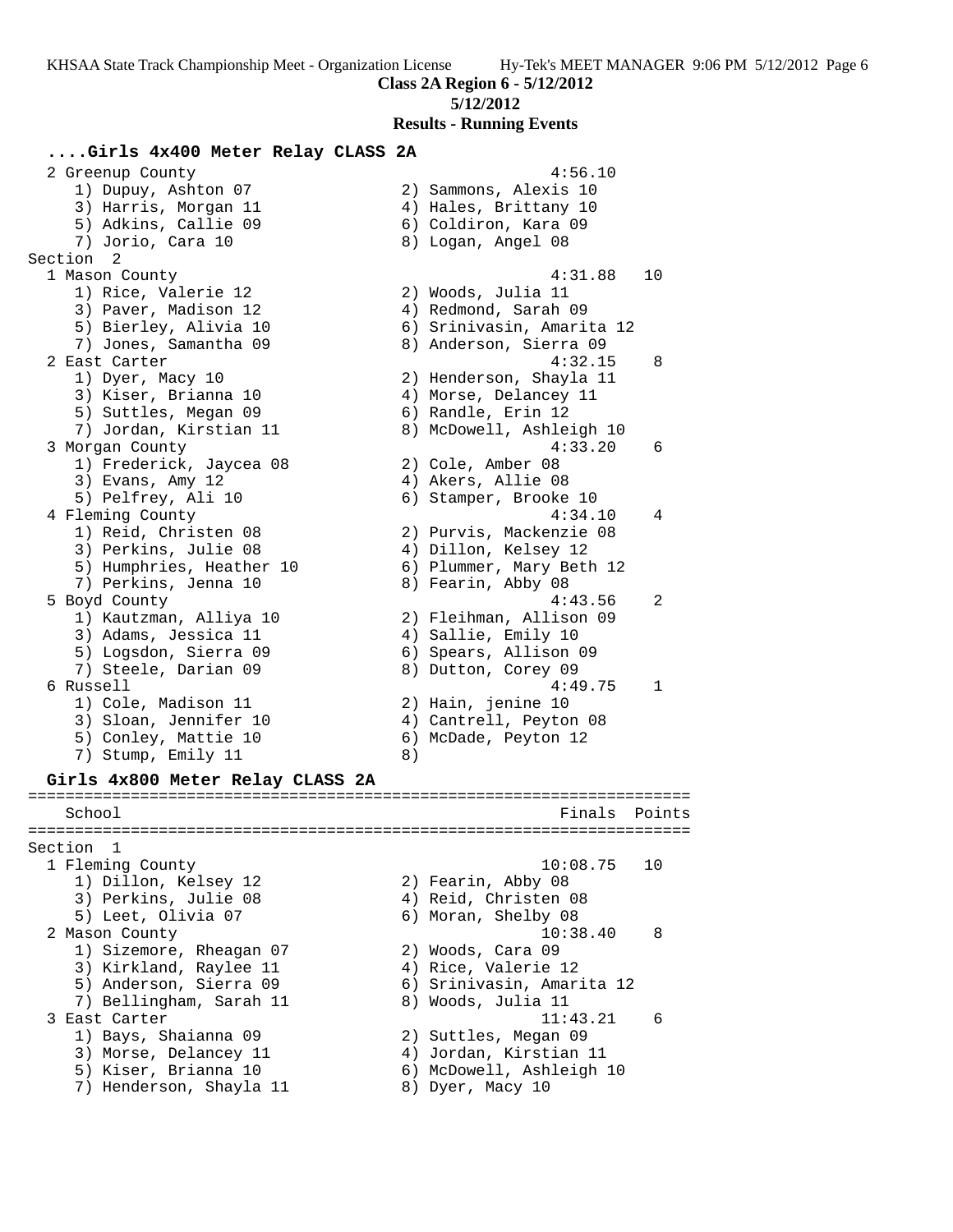**Class 2A Region 6 - 5/12/2012**

### **5/12/2012**

**Results - Running Events**

### **....Girls 4x400 Meter Relay CLASS 2A**

2 Greenup County 2 and 2 Greenup County 2 and 2 and 4:56.10 1) Dupuy, Ashton 07 2) Sammons, Alexis 10 3) Harris, Morgan 11 4) Hales, Brittany 10 5) Adkins, Callie 09 6) Coldiron, Kara 09 7) Jorio, Cara 10 8) Logan, Angel 08 Section 2<br>1 Mason County 1 Mason County 4:31.88 10 1) Rice, Valerie 12 2) Woods, Julia 11 3) Paver, Madison 12 (4) Redmond, Sarah 09 5) Bierley, Alivia 10 6) Srinivasin, Amarita 12 7) Jones, Samantha 09 8) Anderson, Sierra 09 2 East Carter 4:32.15 8 1) Dyer, Macy 10 2) Henderson, Shayla 11 3) Kiser, Brianna 10 4) Morse, Delancey 11 5) Suttles, Megan 09 6) Randle, Erin 12 7) Jordan, Kirstian 11 8) McDowell, Ashleigh 10 3 Morgan County 4:33.20 6 1) Frederick, Jaycea 08 2) Cole, Amber 08 3) Evans, Amy 12 (4) Akers, Allie 08 5) Pelfrey, Ali 10 (6) Stamper, Brooke 10 4 Fleming County 4:34.10 4 1) Reid, Christen 08 2) Purvis, Mackenzie 08 3) Perkins, Julie 08 (4) 9111on, Kelsey 12 5) Humphries, Heather 10 6) Plummer, Mary Beth 12 7) Perkins, Jenna 10  $\hphantom{\text{2.65}$  8) Fearin, Abby 08 5 Boyd County 4:43.56 2 1) Kautzman, Alliya 10 2) Fleihman, Allison 09 3) Adams, Jessica 11 (4) Sallie, Emily 10 5) Logsdon, Sierra 09 6) Spears, Allison 09 7) Steele, Darian 09 8) Dutton, Corey 09 6 Russell 4:49.75 1 1) Cole, Madison 11 2) Hain, jenine 10 3) Sloan, Jennifer 10 4) Cantrell, Peyton 08 5) Conley, Mattie 10 (6) McDade, Peyton 12 7) Stump, Emily 11 8) **Girls 4x800 Meter Relay CLASS 2A** ======================================================================= School **Finals** Points **Points** ======================================================================= Section 1 1 Fleming County 10:08.75 10 1) Dillon, Kelsey 12 2) Fearin, Abby 08 3) Perkins, Julie 08 (4) Reid, Christen 08 5) Leet, Olivia 07 (6) Moran, Shelby 08 2 Mason County 10:38.40 8 1) Sizemore, Rheagan 07 2) Woods, Cara 09 3) Kirkland, Raylee 11  $\hskip10mm$  4) Rice, Valerie 12 5) Anderson, Sierra 09 6) Srinivasin, Amarita 12 7) Bellingham, Sarah 11 8) Woods, Julia 11

- 3 East Carter 11:43.21 6
- 1) Bays, Shaianna 09 2) Suttles, Megan 09
- 3) Morse, Delancey 11 4) Jordan, Kirstian 11 5) Kiser, Brianna 10 6) McDowell, Ashleigh 10
	-
- 7) Henderson, Shayla 11 and 8) Dyer, Macy 10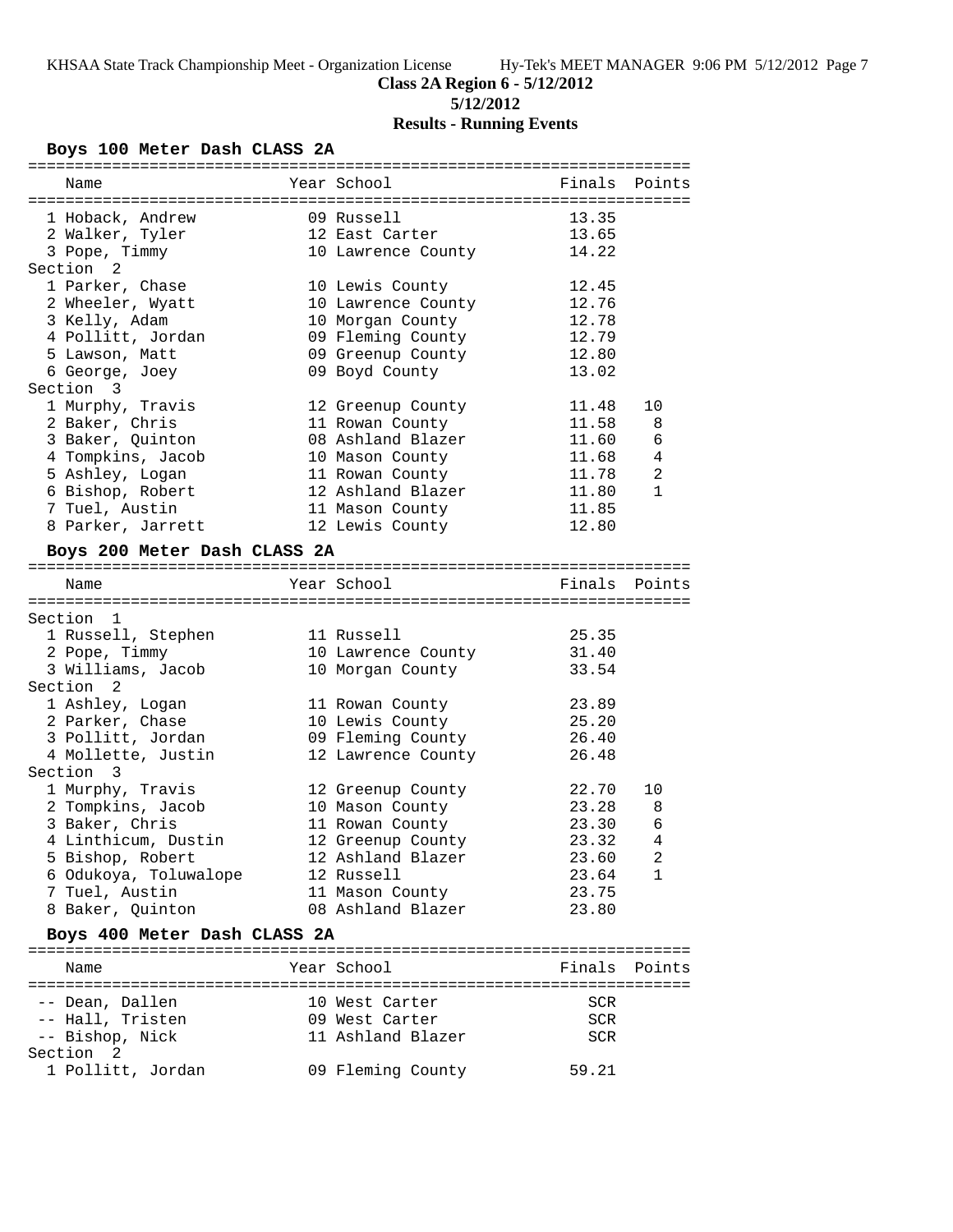**Class 2A Region 6 - 5/12/2012**

**5/12/2012**

# **Results - Running Events**

# **Boys 100 Meter Dash CLASS 2A**

| Name                         | Year School                            | Finals | Points         |
|------------------------------|----------------------------------------|--------|----------------|
|                              |                                        |        |                |
| 1 Hoback, Andrew             | 09 Russell                             | 13.35  |                |
| 2 Walker, Tyler              | 12 East Carter                         | 13.65  |                |
| 3 Pope, Timmy                | 10 Lawrence County                     | 14.22  |                |
| Section <sub>2</sub>         |                                        |        |                |
| 1 Parker, Chase              | 10 Lewis County                        | 12.45  |                |
| 2 Wheeler, Wyatt             | 10 Lawrence County                     | 12.76  |                |
| 3 Kelly, Adam                | 10 Morgan County                       | 12.78  |                |
| 4 Pollitt, Jordan            | 09 Fleming County                      | 12.79  |                |
| 5 Lawson, Matt               | 09 Greenup County                      | 12.80  |                |
| 6 George, Joey               | 09 Boyd County                         | 13.02  |                |
| Section 3                    |                                        |        |                |
| 1 Murphy, Travis             | 12 Greenup County                      | 11.48  | 10             |
|                              |                                        | 11.58  |                |
| 2 Baker, Chris               | 11 Rowan County                        |        | 8              |
| 3 Baker, Quinton             | 08 Ashland Blazer                      | 11.60  | 6              |
| 4 Tompkins, Jacob            | 10 Mason County                        | 11.68  | $\overline{4}$ |
| 5 Ashley, Logan              | 11 Rowan County                        | 11.78  | 2              |
| 6 Bishop, Robert             | 12 Ashland Blazer                      | 11.80  | $\mathbf{1}$   |
| 7 Tuel, Austin               | 11 Mason County                        | 11.85  |                |
| 8 Parker, Jarrett            | 12 Lewis County                        | 12.80  |                |
| Boys 200 Meter Dash CLASS 2A |                                        |        |                |
|                              |                                        |        |                |
| Name                         | Year School                            | Finals | Points         |
|                              |                                        |        |                |
| Section 1                    |                                        |        |                |
| 1 Russell, Stephen           | 11 Russell                             | 25.35  |                |
|                              |                                        | 31.40  |                |
| 2 Pope, Timmy                | 10 Lawrence County<br>10 Morgan County |        |                |
| 3 Williams, Jacob            |                                        | 33.54  |                |
| Section <sub>2</sub>         |                                        |        |                |
| 1 Ashley, Logan              | 11 Rowan County                        | 23.89  |                |
| 2 Parker, Chase              | 10 Lewis County                        | 25.20  |                |
| 3 Pollitt, Jordan            | 09 Fleming County                      | 26.40  |                |
| 4 Mollette, Justin           | 12 Lawrence County                     | 26.48  |                |
| Section 3                    |                                        |        |                |
| 1 Murphy, Travis             | 12 Greenup County                      | 22.70  | 10             |
| 2 Tompkins, Jacob            | 10 Mason County                        | 23.28  | 8              |
| 3 Baker, Chris               | 11 Rowan County                        | 23.30  | 6              |
| 4 Linthicum, Dustin          | 12 Greenup County                      | 23.32  | 4              |
| 5 Bishop, Robert             | 12 Ashland Blazer                      | 23.60  | $\overline{a}$ |
| 6 Odukoya, Toluwalope        | 12 Russell                             | 23.64  | 1              |
| 7 Tuel, Austin               | 11 Mason County                        | 23.75  |                |
| 8 Baker, Quinton             | 08 Ashland Blazer                      | 23.80  |                |
|                              |                                        |        |                |
| Boys 400 Meter Dash CLASS 2A |                                        |        |                |
|                              |                                        |        |                |
| Name                         | Year School                            | Finals | Points         |
|                              |                                        |        |                |
| -- Dean, Dallen              | 10 West Carter                         | SCR    |                |
| -- Hall, Tristen             | 09 West Carter                         | SCR    |                |
| -- Bishop, Nick              | 11 Ashland Blazer                      | SCR    |                |
| Section 2                    |                                        |        |                |
| 1 Pollitt, Jordan            | 09 Fleming County                      | 59.21  |                |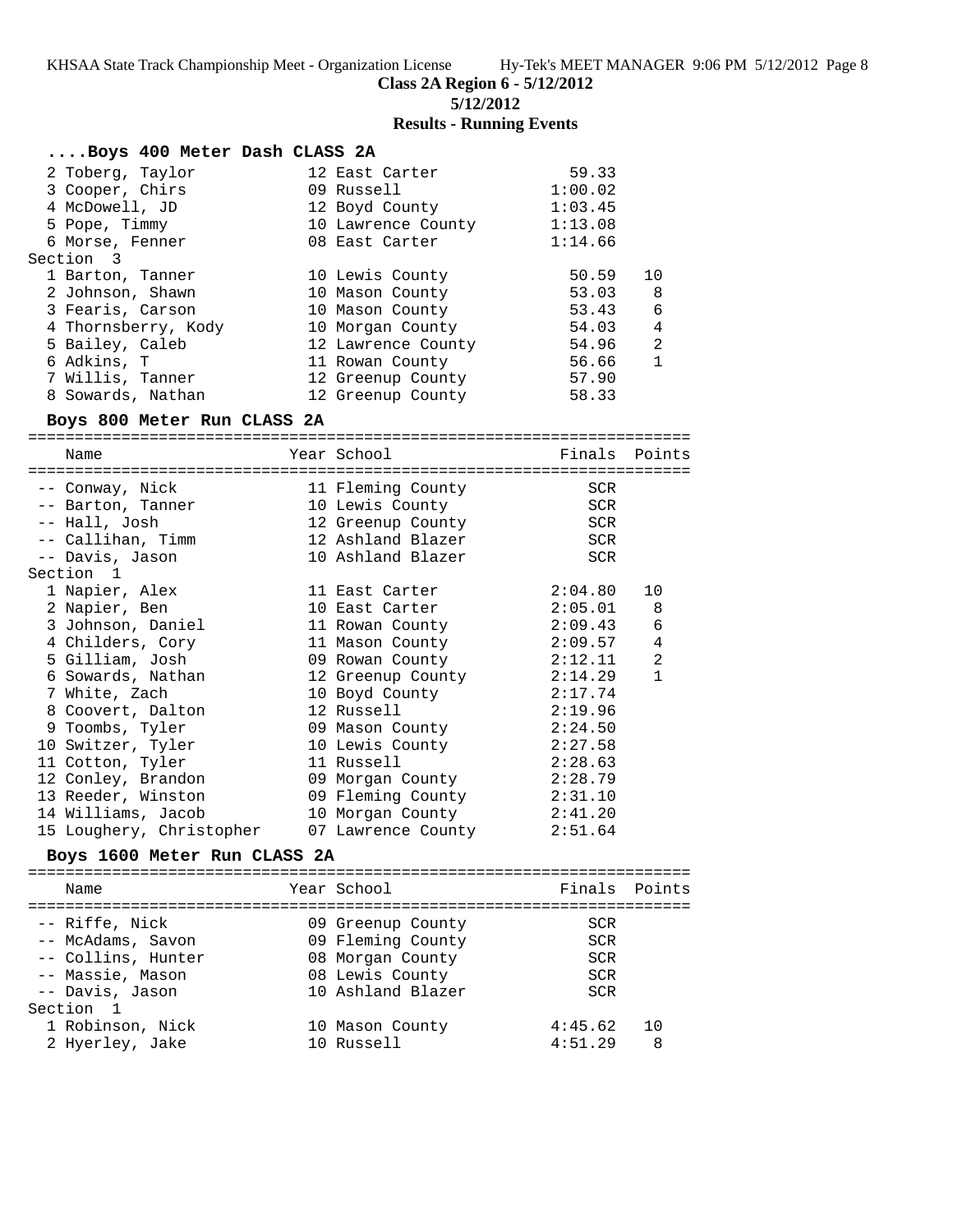**Class 2A Region 6 - 5/12/2012**

**5/12/2012**

### **Results - Running Events**

| Boys 400 Meter Dash CLASS 2A |                    |         |                |
|------------------------------|--------------------|---------|----------------|
| 2 Toberg, Taylor             | 12 East Carter     | 59.33   |                |
| 3 Cooper, Chirs              | 09 Russell         | 1:00.02 |                |
| 4 McDowell, JD               | 12 Boyd County     | 1:03.45 |                |
| 5 Pope, Timmy                | 10 Lawrence County | 1:13.08 |                |
| 6 Morse, Fenner              | 08 East Carter     | 1:14.66 |                |
| Section 3                    |                    |         |                |
| 1 Barton, Tanner             | 10 Lewis County    | 50.59   | 10             |
| 2 Johnson, Shawn             | 10 Mason County    | 53.03   | 8              |
| 3 Fearis, Carson             | 10 Mason County    | 53.43   | 6              |
| 4 Thornsberry, Kody          | 10 Morgan County   | 54.03   | $\overline{4}$ |
| 5 Bailey, Caleb              | 12 Lawrence County | 54.96   | 2              |
| 6 Adkins, T                  | 11 Rowan County    | 56.66   | $\mathbf{1}$   |
| 7 Willis, Tanner             | 12 Greenup County  | 57.90   |                |
| 8 Sowards, Nathan            | 12 Greenup County  | 58.33   |                |

# **Boys 800 Meter Run CLASS 2A**

======================================================================= Name The Year School The Finals Points ======================================================================= -- Conway, Nick 11 Fleming County SCR -- Barton, Tanner 10 Lewis County SCR -- Hall, Josh 12 Greenup County SCR -- Callihan, Timm 12 Ashland Blazer SCR -- Davis, Jason 10 Ashland Blazer SCR Section 1 1 Napier, Alex 11 East Carter 2:04.80 10 2 Napier, Ben 10 East Carter 2:05.01 8 3 Johnson, Daniel 11 Rowan County 2:09.43 6 4 Childers, Cory 11 Mason County 2:09.57 4 5 Gilliam, Josh 09 Rowan County 2:12.11 2 6 Sowards, Nathan 12 Greenup County 2:14.29 1 7 White, Zach 10 Boyd County 2:17.74 8 Coovert, Dalton 12 Russell 2:19.96 9 Toombs, Tyler 09 Mason County 2:24.50 10 Switzer, Tyler 10 Lewis County 2:27.58 11 Cotton, Tyler 11 Russell 2:28.63 12 Conley, Brandon 09 Morgan County 2:28.79 13 Reeder, Winston 09 Fleming County 2:31.10 14 Williams, Jacob 10 Morgan County 2:41.20 15 Loughery, Christopher 07 Lawrence County 2:51.64

### **Boys 1600 Meter Run CLASS 2A**

======================================================================= Name The School Team School (Finals Points ======================================================================= -- Riffe, Nick 09 Greenup County SCR -- McAdams, Savon 09 Fleming County SCR -- Collins, Hunter 08 Morgan County SCR -- Massie, Mason 08 Lewis County SCR -- Davis, Jason 10 Ashland Blazer SCR Section 1 1 Robinson, Nick 10 Mason County 4:45.62 10 2 Hyerley, Jake 10 Russell 4:51.29 8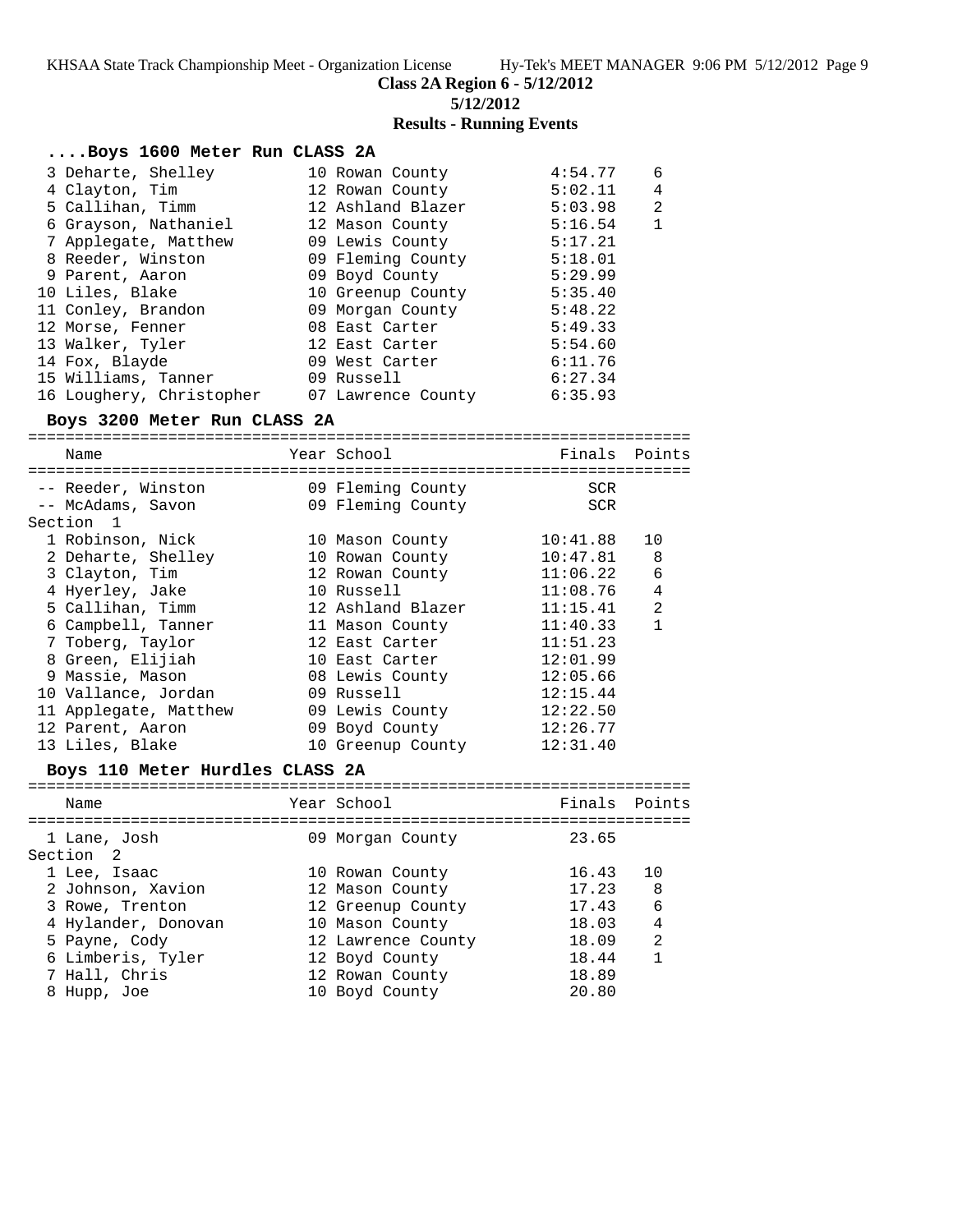**Class 2A Region 6 - 5/12/2012**

**5/12/2012**

# **Results - Running Events**

### **....Boys 1600 Meter Run CLASS 2A**

| 3 Deharte, Shelley       | 10 Rowan County    | 4:54.77 | 6              |
|--------------------------|--------------------|---------|----------------|
| 4 Clayton, Tim           | 12 Rowan County    | 5:02.11 | 4              |
| 5 Callihan, Timm         | 12 Ashland Blazer  | 5:03.98 | $\overline{2}$ |
| 6 Grayson, Nathaniel     | 12 Mason County    | 5:16.54 | 1              |
| 7 Applegate, Matthew     | 09 Lewis County    | 5:17.21 |                |
| 8 Reeder, Winston        | 09 Fleming County  | 5:18.01 |                |
| 9 Parent, Aaron          | 09 Boyd County     | 5:29.99 |                |
| 10 Liles, Blake          | 10 Greenup County  | 5:35.40 |                |
| 11 Conley, Brandon       | 09 Morgan County   | 5:48.22 |                |
| 12 Morse, Fenner         | 08 East Carter     | 5:49.33 |                |
| 13 Walker, Tyler         | 12 East Carter     | 5:54.60 |                |
| 14 Fox, Blayde           | 09 West Carter     | 6:11.76 |                |
| 15 Williams, Tanner      | 09 Russell         | 6:27.34 |                |
| 16 Loughery, Christopher | 07 Lawrence County | 6:35.93 |                |

### **Boys 3200 Meter Run CLASS 2A**

| Name                  | Year School       | Finals Points |                |
|-----------------------|-------------------|---------------|----------------|
|                       |                   |               |                |
| -- Reeder, Winston    | 09 Fleming County | <b>SCR</b>    |                |
| -- McAdams, Savon     | 09 Fleming County | <b>SCR</b>    |                |
| Section 1             |                   |               |                |
| 1 Robinson, Nick      | 10 Mason County   | 10:41.88      | 10             |
| 2 Deharte, Shelley    | 10 Rowan County   | 10:47.81      | 8              |
| 3 Clayton, Tim        | 12 Rowan County   | 11:06.22      | 6              |
| 4 Hyerley, Jake       | 10 Russell        | 11:08.76      | $\overline{4}$ |
| 5 Callihan, Timm      | 12 Ashland Blazer | 11:15.41      | $\overline{2}$ |
| 6 Campbell, Tanner    | 11 Mason County   | 11:40.33      | 1              |
| 7 Toberg, Taylor      | 12 East Carter    | 11:51.23      |                |
| 8 Green, Elijiah      | 10 East Carter    | 12:01.99      |                |
| 9 Massie, Mason       | 08 Lewis County   | 12:05.66      |                |
| 10 Vallance, Jordan   | 09 Russell        | 12:15.44      |                |
| 11 Applegate, Matthew | 09 Lewis County   | 12:22.50      |                |
| 12 Parent, Aaron      | 09 Boyd County    | 12:26.77      |                |
| 13 Liles, Blake       | 10 Greenup County | 12:31.40      |                |

## **Boys 110 Meter Hurdles CLASS 2A**

| Name                      | Year School        | Finals Points |                |
|---------------------------|--------------------|---------------|----------------|
| 1 Lane, Josh<br>Section 2 | 09 Morgan County   | 23.65         |                |
| 1 Lee, Isaac              | 10 Rowan County    | 16.43         | 1 O            |
| 2 Johnson, Xavion         | 12 Mason County    | 17.23         | 8              |
| 3 Rowe, Trenton           | 12 Greenup County  | 17.43         | 6              |
| 4 Hylander, Donovan       | 10 Mason County    | 18.03         | 4              |
| 5 Payne, Cody             | 12 Lawrence County | 18.09         | $\overline{2}$ |
| 6 Limberis, Tyler         | 12 Boyd County     | 18.44         |                |
| 7 Hall, Chris             | 12 Rowan County    | 18.89         |                |
| Hupp, Joe                 | 10 Boyd County     | 20.80         |                |
|                           |                    |               |                |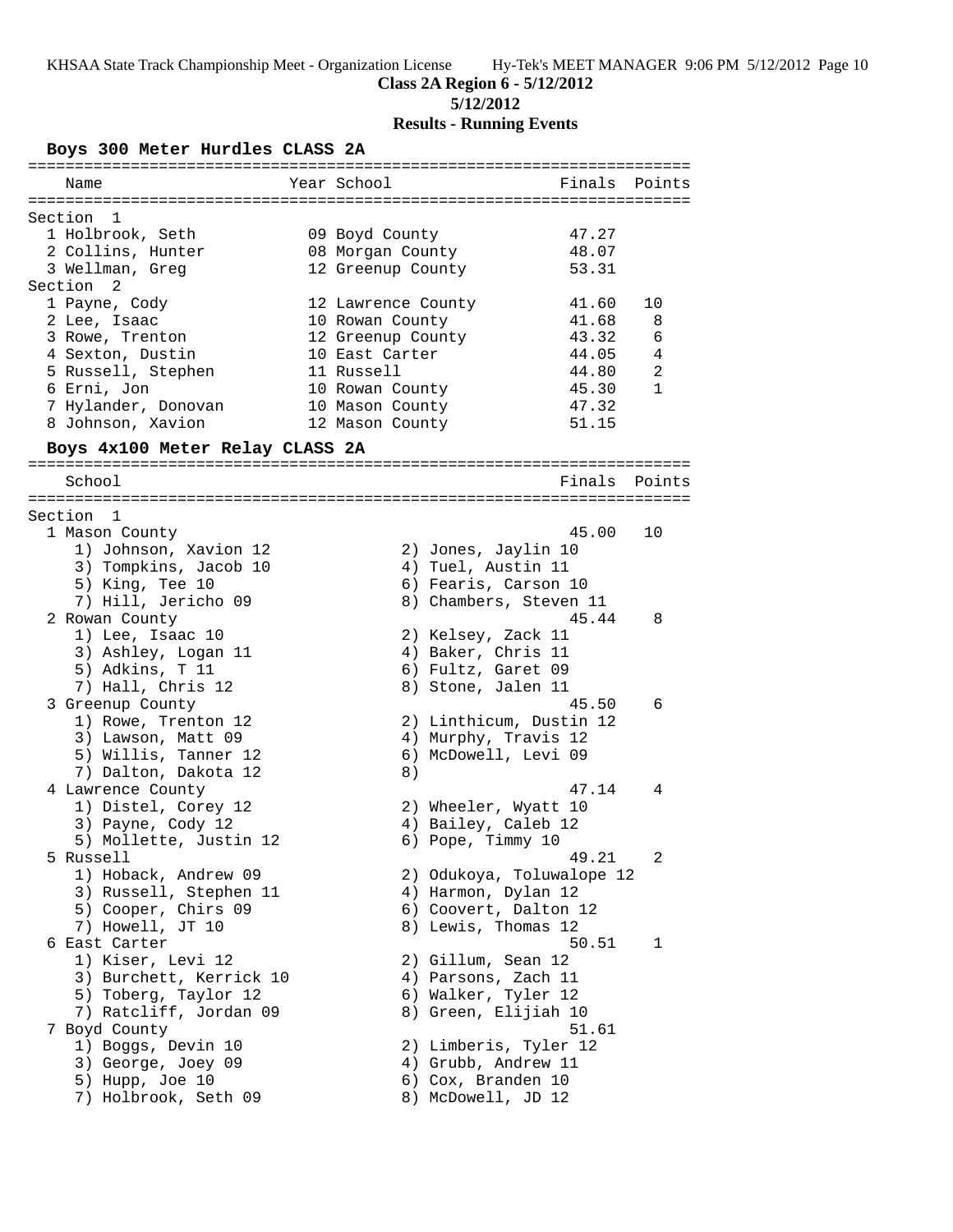## **5/12/2012**

# **Results - Running Events**

## **Boys 300 Meter Hurdles CLASS 2A**

| Name                                     | Year School        |                                             | Finals Points |
|------------------------------------------|--------------------|---------------------------------------------|---------------|
|                                          |                    |                                             |               |
| Section<br>1                             |                    |                                             |               |
| 1 Holbrook, Seth                         | 09 Boyd County     | 47.27                                       |               |
| 2 Collins, Hunter                        | 08 Morgan County   | 48.07                                       |               |
| 3 Wellman, Greg                          | 12 Greenup County  | 53.31                                       |               |
| Section <sub>2</sub>                     |                    |                                             |               |
| 1 Payne, Cody                            | 12 Lawrence County | 41.60                                       | 10            |
| 2 Lee, Isaac                             | 10 Rowan County    | 41.68                                       | 8             |
| 3 Rowe, Trenton                          | 12 Greenup County  | 43.32                                       | 6             |
| 4 Sexton, Dustin                         | 10 East Carter     | 44.05                                       | 4             |
| 5 Russell, Stephen                       | 11 Russell         | 44.80                                       | 2             |
| 6 Erni, Jon                              | 10 Rowan County    | 45.30                                       | $\mathbf{1}$  |
| 7 Hylander, Donovan                      | 10 Mason County    | 47.32                                       |               |
| 8 Johnson, Xavion                        | 12 Mason County    | 51.15                                       |               |
| Boys 4x100 Meter Relay CLASS 2A          |                    |                                             |               |
| School                                   |                    | Finals                                      | Points        |
|                                          |                    |                                             |               |
| Section<br>$\mathbf{1}$                  |                    |                                             |               |
| 1 Mason County                           |                    | 45.00                                       | 10            |
| 1) Johnson, Xavion 12                    |                    | 2) Jones, Jaylin 10                         |               |
| 3) Tompkins, Jacob 10                    |                    | 4) Tuel, Austin 11                          |               |
| 5) King, Tee 10                          |                    | 6) Fearis, Carson 10                        |               |
| 7) Hill, Jericho 09                      |                    | 8) Chambers, Steven 11                      |               |
| 2 Rowan County                           |                    | 45.44                                       | 8             |
| 1) Lee, Isaac 10                         |                    | 2) Kelsey, Zack 11                          |               |
| 3) Ashley, Logan 11                      |                    | 4) Baker, Chris 11                          |               |
| 5) Adkins, T 11                          |                    | 6) Fultz, Garet 09                          |               |
| 7) Hall, Chris 12                        |                    | 8) Stone, Jalen 11                          |               |
| 3 Greenup County                         |                    | 45.50                                       | 6             |
| 1) Rowe, Trenton 12                      |                    | 2) Linthicum, Dustin 12                     |               |
| 3) Lawson, Matt 09                       |                    | 4) Murphy, Travis 12                        |               |
| 5) Willis, Tanner 12                     |                    | 6) McDowell, Levi 09                        |               |
| 7) Dalton, Dakota 12                     | 8)                 | 47.14                                       | 4             |
| 4 Lawrence County<br>1) Distel, Corey 12 |                    |                                             |               |
| 3) Payne, Cody 12                        |                    | 2) Wheeler, Wyatt 10<br>4) Bailey, Caleb 12 |               |
| 5) Mollette, Justin 12                   |                    | 6) Pope, Timmy 10                           |               |
| 5 Russell                                |                    | 49.21                                       | 2             |
| 1) Hoback, Andrew 09                     |                    | 2) Odukoya, Toluwalope 12                   |               |
| 3) Russell, Stephen 11                   |                    | 4) Harmon, Dylan 12                         |               |
| 5) Cooper, Chirs 09                      |                    | 6) Coovert, Dalton 12                       |               |
| 7) Howell, JT 10                         |                    | 8) Lewis, Thomas 12                         |               |
| 6 East Carter                            |                    | 50.51                                       | 1             |
| 1) Kiser, Levi 12                        |                    | 2) Gillum, Sean 12                          |               |
| 3) Burchett, Kerrick 10                  |                    | 4) Parsons, Zach 11                         |               |
| 5) Toberg, Taylor 12                     |                    | 6) Walker, Tyler 12                         |               |
| 7) Ratcliff, Jordan 09                   |                    | 8) Green, Elijiah 10                        |               |
| 7 Boyd County                            |                    | 51.61                                       |               |
| 1) Boggs, Devin 10                       |                    | 2) Limberis, Tyler 12                       |               |
| 3) George, Joey 09                       |                    | 4) Grubb, Andrew 11                         |               |
| 5) Hupp, Joe 10                          |                    | 6) Cox, Branden 10                          |               |
| 7) Holbrook, Seth 09                     |                    | 8) McDowell, JD 12                          |               |
|                                          |                    |                                             |               |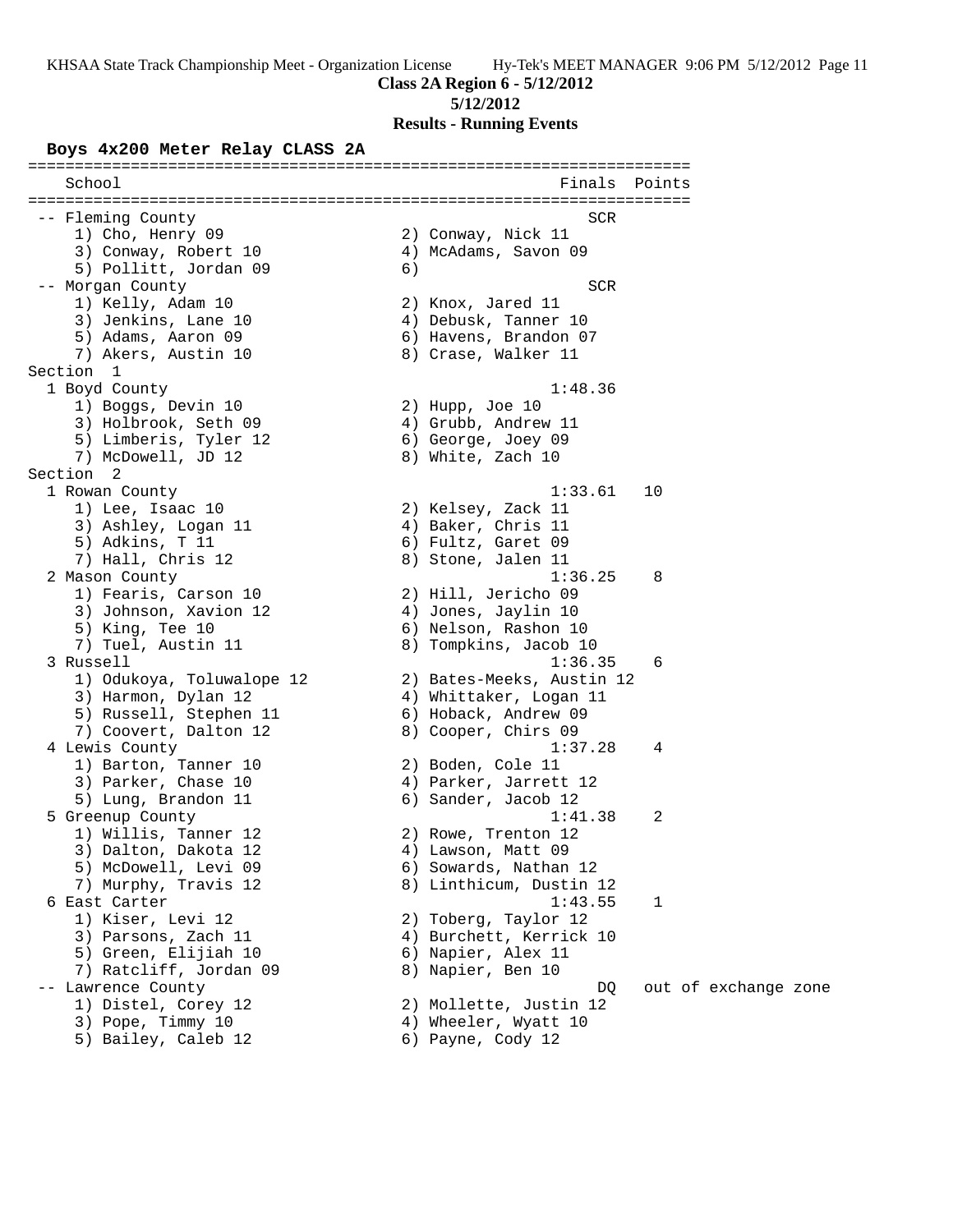### **Class 2A Region 6 - 5/12/2012**

#### **5/12/2012**

### **Results - Running Events**

#### **Boys 4x200 Meter Relay CLASS 2A**

======================================================================= School **Finals Points** ======================================================================= -- Fleming County **SCR**  1) Cho, Henry 09 2) Conway, Nick 11 3) Conway, Robert 10 (4) McAdams, Savon 09 5) Pollitt, Jordan 09 (6) -- Morgan County SCR (1999) SCR 1) Kelly, Adam 10 2) Knox, Jared 11 3) Jenkins, Lane 10 (4) Debusk, Tanner 10 5) Adams, Aaron 09 6) Havens, Brandon 07 7) Akers, Austin 10 and 8) Crase, Walker 11 Section 1<br>1 Boyd County 1 Boyd County 1:48.36 1) Boggs, Devin 10 2) Hupp, Joe 10 3) Holbrook, Seth 09 (4) Grubb, Andrew 11 5) Limberis, Tyler 12 (6) George, Joey 09 7) McDowell, JD 12 8) White, Zach 10 Section 2<br>1 Rowan County 1 Rowan County 1:33.61 10 1) Lee, Isaac 10 2) Kelsey, Zack 11 3) Ashley, Logan 11 4) Baker, Chris 11 5) Adkins, T 11 6) Fultz, Garet 09 7) Hall, Chris 12 8) Stone, Jalen 11 2 Mason County 1:36.25 8 1) Fearis, Carson 10 2) Hill, Jericho 09 3) Johnson, Xavion 12 4) Jones, Jaylin 10 5) King, Tee 10 6) Nelson, Rashon 10 7) Tuel, Austin 11 8) Tompkins, Jacob 10 3 Russell 1:36.35 6 1) Odukoya, Toluwalope 12 2) Bates-Meeks, Austin 12 3) Harmon, Dylan 12 4) Whittaker, Logan 11 5) Russell, Stephen 11 (6) Hoback, Andrew 09 7) Coovert, Dalton 12 (8) Cooper, Chirs 09 4 Lewis County 1:37.28 4 1) Barton, Tanner 10 2) Boden, Cole 11 3) Parker, Chase 10 4) Parker, Jarrett 12 5) Lung, Brandon 11 6) Sander, Jacob 12 5 Greenup County 1:41.38 2 1) Willis, Tanner 12 2) Rowe, Trenton 12 3) Dalton, Dakota 12 (4) Lawson, Matt 09 5) McDowell, Levi 09 6) Sowards, Nathan 12 7) Murphy, Travis 12 8) Linthicum, Dustin 12 6 East Carter 1:43.55 1 1) Kiser, Levi 12 2) Toberg, Taylor 12 3) Parsons, Zach 11 (4) Burchett, Kerrick 10 5) Green, Elijiah 10  $\qquad \qquad$  6) Napier, Alex 11 7) Ratcliff, Jordan 09 8) Napier, Ben 10 -- Lawrence County DQ out of exchange zone 1) Distel, Corey 12 2) Mollette, Justin 12 3) Pope, Timmy 10 4) Wheeler, Wyatt 10 5) Bailey, Caleb 12 (6) Payne, Cody 12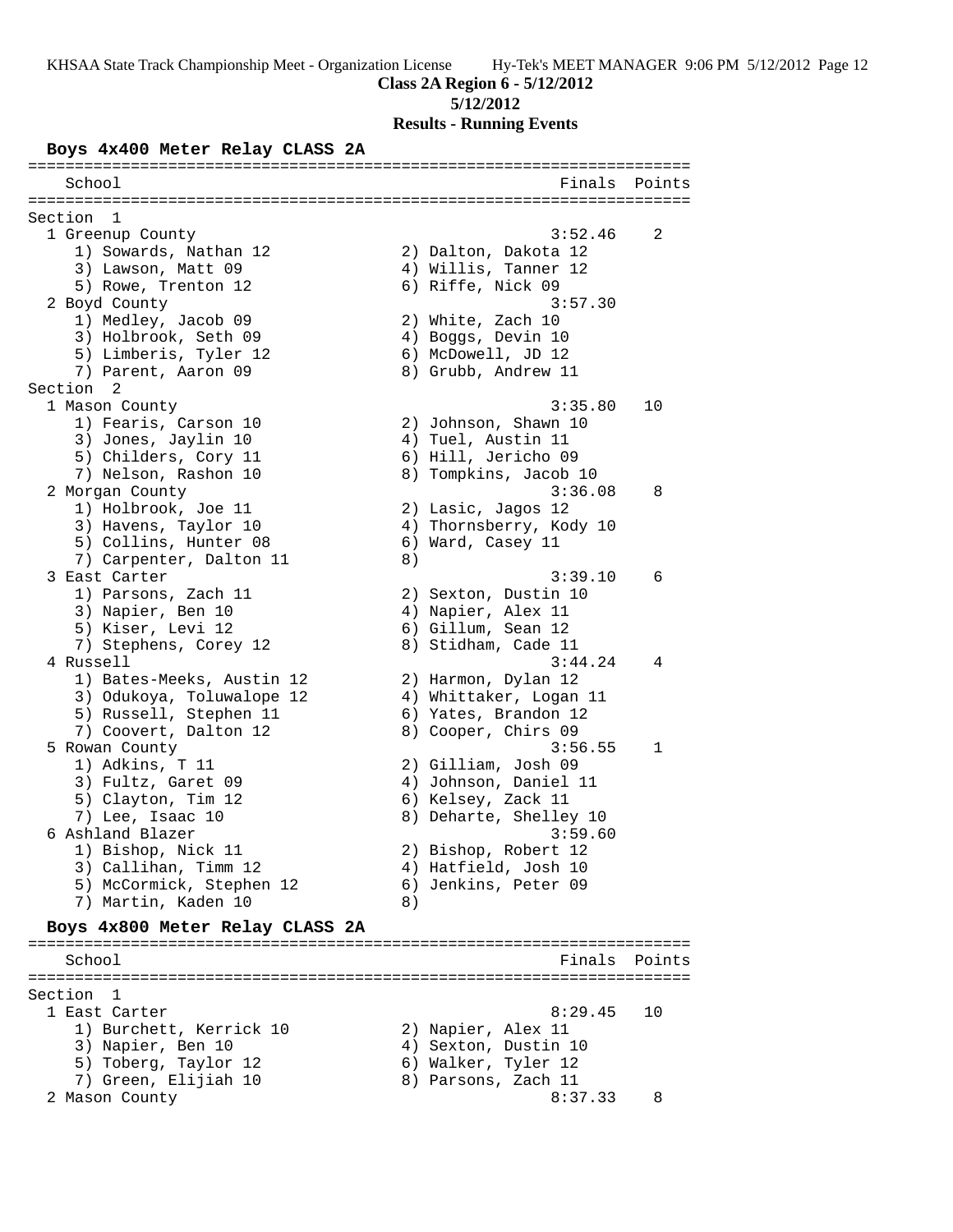#### **Class 2A Region 6 - 5/12/2012**

#### **5/12/2012**

**Results - Running Events**

#### **Boys 4x400 Meter Relay CLASS 2A**

======================================================================= School **Finals** Points ======================================================================= Section 1<br>1 Greenup County 1 Greenup County 3:52.46 2 1) Sowards, Nathan 12 2) Dalton, Dakota 12 3) Lawson, Matt 09 (4) Willis, Tanner 12 5) Rowe, Trenton 12 6) Riffe, Nick 09 2 Boyd County 3:57.30 1) Medley, Jacob 09 2) White, Zach 10 3) Holbrook, Seth 09 (4) Boggs, Devin 10 5) Limberis, Tyler 12 (6) McDowell, JD 12 7) Parent, Aaron 09 8) Grubb, Andrew 11 Section 2 1 Mason County 3:35.80 10 1) Fearis, Carson 10 2) Johnson, Shawn 10 3) Jones, Jaylin 10 (4) Tuel, Austin 11 5) Childers, Cory 11 6) Hill, Jericho 09 7) Nelson, Rashon 10 8) Tompkins, Jacob 10 2 Morgan County 3:36.08 8 1) Holbrook, Joe 11 2) Lasic, Jagos 12 3) Havens, Taylor 10 4) Thornsberry, Kody 10 5) Collins, Hunter 08 6) Ward, Casey 11 7) Carpenter, Dalton 11 (8) 3 East Carter 3:39.10 6 1) Parsons, Zach 11 2) Sexton, Dustin 10 3) Napier, Ben 10 (4) Napier, Alex 11 5) Kiser, Levi 12 (6) Gillum, Sean 12 7) Stephens, Corey 12 8) Stidham, Cade 11 4 Russell 3:44.24 4 1) Bates-Meeks, Austin 12 2) Harmon, Dylan 12 3) Odukoya, Toluwalope 12 4) Whittaker, Logan 11 5) Russell, Stephen 11 (6) Yates, Brandon 12 7) Coovert, Dalton 12 (8) Cooper, Chirs 09 5 Rowan County 3:56.55 1 1) Adkins, T 11 2) Gilliam, Josh 09 3) Fultz, Garet 09 4) Johnson, Daniel 11 5) Clayton, Tim 12 6) Kelsey, Zack 11 7) Lee, Isaac 10 8) Deharte, Shelley 10 6 Ashland Blazer 3:59.60 1) Bishop, Nick 11 2) Bishop, Robert 12 3) Callihan, Timm 12 (4) Hatfield, Josh 10 5) McCormick, Stephen 12 6) Jenkins, Peter 09 7) Martin, Kaden 10 8) **Boys 4x800 Meter Relay CLASS 2A** ======================================================================= School Finals Points ======================================================================= Section 1 1 East Carter 8:29.45 10 1) Burchett, Kerrick 10 2) Napier, Alex 11 3) Napier, Ben 10 (4) Sexton, Dustin 10 5) Toberg, Taylor 12 (6) Walker, Tyler 12 7) Green, Elijiah 10  $\hskip1cm 8$ ) Parsons, Zach 11 2 Mason County 8:37.33 8